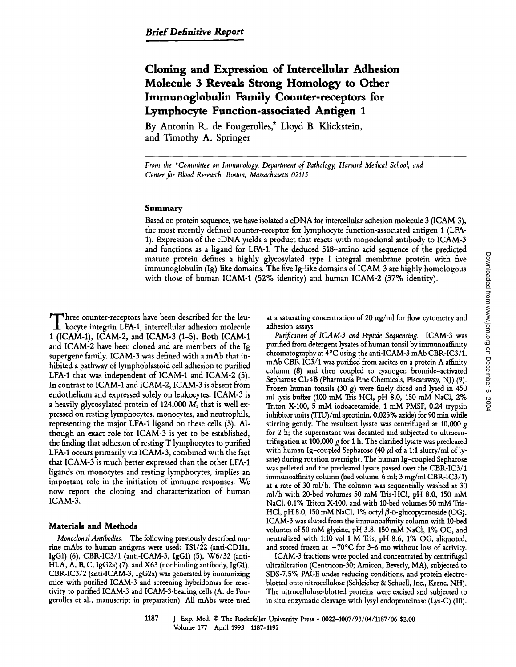# **Cloning and Expression of Intercellular Adhesion Molecule 3 Reveals Strong Homology to Other Immunoglobulin Family Counter-receptors for Lymphocyte Function-associated Antigen 1**

**By Antonin R. de Fougerolles,\* Lloyd B. Klickstein, and Timothy A. Springer** 

*From the \*Committee on Immunology, Department of Pathology, Harvard Medical School, and Center for Blood Research, Boston, Massachusetts 02115* 

# **Summary**

Based on protein sequence, we have isolated a cDNA for intercellular adhesion molecule 3 (ICAM-3), the most recently defined counter-receptor for lymphocyte function-associated antigen 1 (LFA-1). Expression of the eDNA yields a product that reacts with monoclonal antibody to ICAM-3 and functions as a ligand for LFA-1. The deduced 518-amino acid sequence of the predicted mature protein defines a highly glycosylated type I integral membrane protein with five immunoglobulin (Ig)-like domains. The five Ig-like domains of ICAM-3 are highly homologous with those of human ICAM-1 (52% identity) and human ICAM-2 (37% identity).

Three counter-receptors have been described for the leu-<br>kocyte integrin LFA-1, intercellular adhesion molecule 1 (ICAM-1), ICAM-2, and ICAM-3 (1-5). Both ICAM-1 and ICAM-2 have been cloned and are members of the Ig supergene family. ICAM-3 was defined with a mAb that inhibited a pathway of lymphoblastoid cell adhesion to purified LFA-1 that was independent of ICAM-1 and ICAM-2 (5). In contrast to ICAM-1 and ICAM-2, ICAM-3 is absent from endothelium and expressed solely on leukocytes. ICAM-3 is a heavily glycosylated protein of  $124,000 M<sub>r</sub>$  that is well expressed on resting lymphocytes, monocytes, and neutrophils, representing the major LFA-1 ligand on these cells (5). Although an exact role for ICAM-3 is yet to be established, the finding that adhesion of resting T lymphocytes to purified LFA-1 occurs primarily via ICAM-3, combined with the fact that ICAM-3 is much better expressed than the other LFA-1 ligands on monocytes and resting lymphocytes, implies an important role in the initiation of immune responses. We now report the cloning and characterization of human ICAM-3.

### **Materials and Methods**

*Monoclonal Antibodies.* The following previously described mutine mAbs to human antigens were used: TS1/22 (anti-CD11a, IgG1) (6), CBK-IC3/1 (anti-ICAM-3, IgG1) (5), W6/32 (anti-HLA, A, B, C, IgG2a) (7), and X63 (nonbinding antibody, IgG1). CBK-IC3/2 (anti-ICAM-3, IgG2a) was generated by immunizing mice with purified ICAM-3 and screening hybridomas for reactivity to purified ICAM-3 and ICAM-3-bearing cells (A. de Fougerolles et al., manuscript in preparation). All mAbs were used at a saturating concentration of 20  $\mu$ g/ml for flow cytometry and adhesion assays.

*Purification of ICAM-3 and Peptide Sequencing.* ICAM-3 was purified from detergent lysates of human tonsil by immunoaffinity chromatography at  $4^{\circ}$ C using the anti-ICAM-3 mAb CBR-IC3/1. mAb CBR-IC3/1 was purified from ascites on a protein A affinity column (8) and then coupled to cyanogen bromide-activated Sepharose CL-4B (Pharmacia Fine Chemicals, Piscataway, NJ) (9). Frozen human tonsils (30 g) were finely diced and lysed in 450 ml lysis buffer (100 mM Tris HC1, pH 8.0, 150 mM NaC1, 2% Triton X-100, 5 mM iodoacetamide, 1 mM PMSF, 0.24 trypsin inhibitor units (TIU)/ml aprotinin, 0.025% azide) for 90 min while stirring gently. The resultant lysate was centrifuged at 10,000  $g$ for 2 h; the supernatant was decanted and subjected to ultracentrifugation at 100,000  $g$  for 1 h. The clarified lysate was precleared with human Ig-coupled Sepharose (40  $\mu$ l of a 1:1 slurry/ml of lysate) during rotation overnight. The human Ig-coupled Sepharose was pelleted and the precleared lysate passed over the CBR-IC3/1 immunoaffinity column (bed volume, 6 ml; 3 mg/ml CBR-IC3/1) at a rate of 30 ml/h. The column was sequentially washed at 30 ml/h with 20-bed volumes 50 mM Tris-HC1, pH 8.0, 150 mM NaC1, 0.1% Triton X-100, and with 10-bed volumes 50 mM Tris-HCl, pH 8.0, 150 mM NaCl, 1% octyl  $\beta$ -D-glucopyranoside (OG). ICAM-3 was eluted from the immunoaffinity column with 10-bed volumes of 50 mM glycine, pH 3.8, 150 mM NaCI, 1% OG, and neutralized with 1:10 vol 1 M Tris, pH 8.6, 1% OG, aliquoted, and stored frozen at  $-70^{\circ}$ C for 3-6 mo without loss of activity.

ICAM-3 fractions were pooled and concentrated by centrifugal ultrafiltration (Centricon-30; Amicon, Beverly, MA), subjected to SDS-7.5% PAGE under reducing conditions, and protein electroblotted onto nitrocellulose (Schleicher & Schuell, Inc., Keene, NH). The nitrocellulose-blotted proteins were excised and subjected to in situ enzymatic cleavage with lysyl endoproteinase (LYS-C) (10).

1187 J. Exp. Med. © The Rockefeller University Press • 0022-1007/93/04/1187/06 \$2.00 Volume 177 April 1993 1187-1192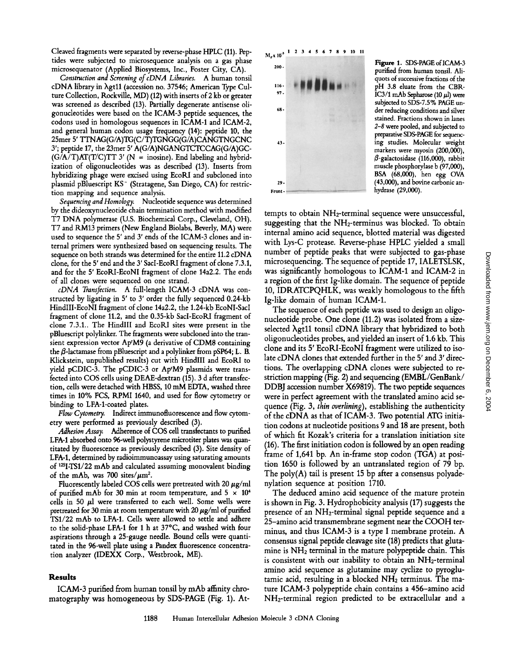Cleaved fragments were separated by reverse-phase HPLC (11). Peptides were subjected to microsequence analysis on a gas phase microsequenator (Applied Biosystems, Inc., Foster City, CA).

*Construction and Screening of cDNA Libraries.* A human tonsil cDNA library in Xgt11 (accession no. 37546; American Type Culture Collection, Kockville, MD) (12) with inserts of 2 kb or greater was screened as described (13). Partially degenerate antisense oligonucleotides were based on the ICAM-3 peptide sequences, the codons used in homologous sequences in ICAM-1 and ICAM-2, and general human codon usage frequency (14): peptide 10, the 25met 5' TTNAG(G/A)TG(C/T)TGNGG(G/A)CANGTNGCNC 3'; peptide 17, the 23mer 5' A(G/A)NGANGTCTCCAG(G/A)GC-  $(G/A/T)AT(T/C)TT$  3' (N = inosine). End labeling and hybridization of oligonucleotides was as described (13). Inserts from hybridizing phage were excised using EcoRI and subcloned into plasmid pBluescript KS<sup>-</sup> (Stratagene, San Diego, CA) for restriction mapping and sequence analysis.

*Sequencing and Homology.* Nucleotide sequence was determined by the dideoxynucleotide chain termination method with modified T7 DNA polymerase (U.S. Biochemical Corp., Cleveland, OH). T7 and RM13 primers (New England Biolabs, Beverly, MA) were used to sequence the 5' and 3' ends of the ICAM-3 clones and internal primers were synthesized based on sequencing results. The sequence on both strands was determined for the entire 11.2 cDNA clone, for the 5' end and the 3' SacI-EcoKI fragment of clone 7.3.1, and for the 5' EcoRI-EcoNI fragment of clone 14a2.2. The ends of all clones were sequenced on one strand.

*cDNA Transfection.* A full-length ICAM-3 cDNA was constructed by ligating in 5' to 3' order the fully sequenced 0.24-kb HindlII-EcoNI fragment of clone 14a2.2, the 1.24-kb EcoNI-SacI fragment of clone 11.2, and the 0.35-kb SacI-EcoKI fragment of clone 7.3.1.. The HindlII and EcoKI sites were present in the pBluescript polylinker. The fragments were subcloned into the transient expression vector Ap<sup>r</sup>M9 (a derivative of CDM8 containing the  $\beta$ -lactamase from pBluescript and a polylinker from pSP64; L. B. Klickstein, unpublished results) cut with HindIII and EcoRI to yield pCDIC-3. The pCDIC-3 or AprM9 plasmids were transfected into COS cells using DEAE-dextran (15). 3 d after transfection, cells were detached with HBSS, 10 mM EDTA, washed three times in 10% FCS, RPMI 1640, and used for flow cytometry or binding to LFA-l-coated plates.

*Flow Cytometry.* Indirect immunofluorescence and flow cytometry were performed as previously described (3).

*Adhesion Assay.* Adherence of COS cell transfectants to purified LFA-1 absorbed onto 96-well polystyrene microtiter plates was quantitated by fluorescence as previously described (3). Site density of LFA-1, determined by radioimmunoassay using saturating amounts of 12SI-TS1/22 mAb and calculated assuming monovalent binding of the mAb, was 700 sites/ $\mu$ m<sup>2</sup>.

Fluorescently labeled COS cells were pretreated with 20  $\mu$ g/ml of purified mAb for 30 min at room temperature, and  $5 \times 10^4$ cells in 50  $\mu$ l were transferred to each well. Some wells were pretreated for 30 min at room temperature with 20  $\mu$ g/ml of purified *TS1/22* mAb to LFA-1. Cells were allowed to settle and adhere to the solid-phase LFA-1 for 1 h at 37°C, and washed with four aspirations through a 25-gauge needle. Bound cells were quantitated in the 96-well plate using a Pandex fluorescence concentration analyzer (IDEXX Corp., Westbrook, ME).

#### **Results**

ICAM-3 purified from human tonsil by mAb affinity chromatography was homogeneous by SDS-PAGE (Fig. 1). At-



Figure 1. SDS-PAGE of ICAM-3 purified from human tonsil. Aliquots of successive fractions of the pH 3.8 eluate from the CBR- $IC3/1$  mAb Sepharose (10  $\mu$ l) were subjected to SDS-7.5% PAGE under reducing conditions and silver stained. Fractions shown in lanes *2-8* were pooled, and subjected to preparative SDS-PAGE for sequencing studies. Molecular weight markers were myosin (200,000),  $\beta$ -galactosidase (116,000), rabbit muscle phosphorylase b (97,000), BSA (68,000), hen egg OVA (43,000), and bovine carbonic anhydrase (29,000).

tempts to obtain NH2-terminal sequence were unsuccessful, suggesting that the NH2-terminus was blocked. To obtain internal amino acid sequence, blotted material was digested with Lys-C protease. Reverse-phase HPLC yielded a small number of peptide peaks that were subjected to gas-phase microsequencing. The sequence of peptide 17, IALETSLSK, was significantly homologous to ICAM-1 and ICAM-2 in a region of the first Ig-like domain. The sequence of peptide 10, IDRATCPQHLK, was weakly homologous to the fifth Ig-like domain of human ICAM-1.

The sequence of each peptide was used to design an oligonucleotide probe. One clone (11.2) was isolated from a sizeselected  $\lambda$ gt11 tonsil cDNA library that hybridized to both oligonucleotides probes, and yielded an insert of 1.6 kb. This clone and its 5' EcoRI-EcoNI fragment were utilized to isolate cDNA clones that extended further in the 5' and 3' directions. The overlapping cDNA clones were subjected to restriction mapping (Fig. 2) and sequencing *(EMBL/GenBank/*  DDBJ accession number X69819). The two peptide sequences were in perfect agreement with the translated amino acid sequence (Fig. 3, *thin overlining),* establishing the authenticity of the cDNA as that of ICAM-3. Two potential ATG initiation codons at nucleotide positions 9 and 18 are present, both of which fit Kozak's criteria for a translation initiation site (16). The first initiation codon is followed by an open reading frame of 1,641 bp. An in-frame stop codon (TGA) at position 1650 is followed by an untranslated region of 79 bp. The poly $(A)$  tail is present 15 bp after a consensus polyadenylation sequence at position 1710.

The deduced amino acid sequence of the mature protein is shown in Fig. 3. Hydrophobicity analysis (17) suggests the presence of an NH2-terminal signal peptide sequence and a 25-amino acid transmembrane segment near the COOH terminus, and thus ICAM-3 is a type I membrane protein. A consensus signal peptide cleavage site (18) predicts that glutamine is NH2 terminal in the mature polypeptide chain. This is consistent with our inability to obtain an NH2-terminal amino acid sequence as glutamine may cyclize to pyroglutamic acid, resulting in a blocked  $NH<sub>2</sub>$  terminus. The mature ICAM-3 polypeptide chain contains a 456-amino acid NH2-terminal region predicted to be extracellular and a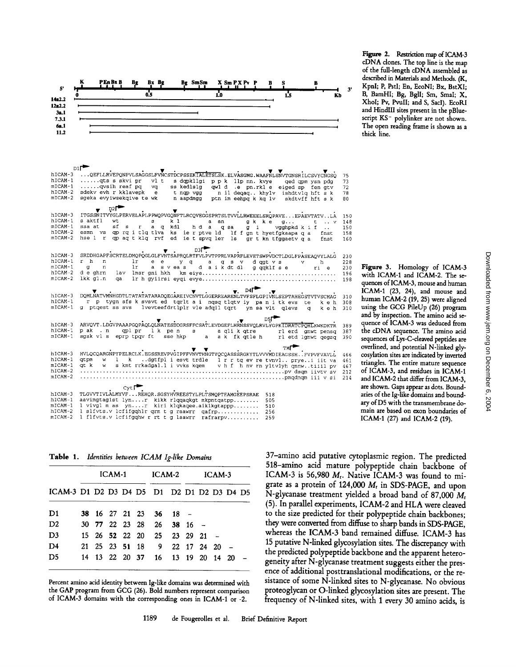

|                    | $D1$ <sup><math>\blacksquare</math></sup>                                                                                                                        |          |
|--------------------|------------------------------------------------------------------------------------------------------------------------------------------------------------------|----------|
| hICAM-3<br>hICAM-1 | QEFLLRVEPONPVLSAGGSLFVNCSTDCPSSEKTALETSLSK.ELVASGMG.WAAFNLSNVTGNSRILCSVYCNGSO<br>$\ldots$ ets s skvi pr<br>vl t<br>s dopkllgi p p k llp nn. kvye ged opm ysn pdg | 75<br>73 |
| mICAM-1            | $\ldots$ $\alpha$ vsih reaf p $\alpha$<br>va<br>ss kedlslg<br>qwld.e pn.rkle eiged sp fen gtv                                                                    | 72       |
| hICAM-2            | sdekv evh r kklavepk<br>t nap vaa<br>e<br>n il deqaq khylv  ishdtvlg hft s k                                                                                     | 78       |
| $mICAM-2$          | sgeka evyiwsekgive te wk<br>n aapdmgg<br>ptn im eehpq k kq lv skdtvff hft s k                                                                                    | 80       |
|                    |                                                                                                                                                                  |          |
|                    | D2I                                                                                                                                                              |          |
| hICAM-3            | ITGSSNITVYGLPERVELAPLPPWQPVGQNFTLRCQVEGGSPRTSLTVVLLRWEEELSRQPAVEEPAEVTATVLA                                                                                      | 150      |
| hICAM-1            | s aktfl<br>wt<br>k 1<br>s<br>a an<br>gk ke<br>q<br>$t \rightarrow v$                                                                                             | 148      |
| $mICAM-1$          | sf s<br>ssa at<br>r a q kdl<br>hd a q sa<br>q i<br>vgghpkd $k$ if $\ldots$                                                                                       | 150      |
| hICAM-2            | esmn vs qp rq i tlq tlva ks ie r ptve ld If f gn t hyetfgkaapa q a fnst                                                                                          | 158      |
| $mICAM-2$          | hse 1 r qp aq t klq rvf ed ie t spvq ler 1s gr t kn tfggaetv q a<br>fnst                                                                                         | 160      |
|                    |                                                                                                                                                                  |          |
|                    | D3ľ                                                                                                                                                              |          |
| hICAM-3            | SRDDHGAPFSCRTELDMQPQGLGLFVNTSAPRQLRTFVLPVTPPRLVAPRFLEVETSWPVDCTLDGLFPASEAQVYLALG                                                                                 | 230      |
| hICAM-1            | r h<br>n<br>1r<br>e e<br>y qa<br>q s v d gat v s<br>v<br>ħ                                                                                                       | 228      |
| $mICAM-1$          | a sveas daik dt dl g qqklf se<br>$\sigma$<br>1r<br>n<br>ri e                                                                                                     | 230      |
| hICAM-2            | d e ghrn<br>lav lmsr gni hkh                                                                                                                                     |          |
| mICAM-2            | lkk gl.n                                                                                                                                                         | 196      |
|                    |                                                                                                                                                                  | 198      |
|                    | D4I                                                                                                                                                              |          |
| hICAM-3            | v.<br>DOMLNATVMNHGDTLTATATATARADQEGAREIVCNVTLGGERREARENLTVFSFLGPIVNLSEPTAHEGSTVTVSCMAG                                                                           | 310      |
| hICAM-1            | r p tygn sfs k svsvt ed tqrlt a i nqsq tlqtv iy pan i tk evs te                                                                                                  |          |
| $mICAM-1$          | k e h                                                                                                                                                            | 308      |
|                    | g ptgest ss svs lvevteefdrtlplr vle adgil tgrt yn sa vlt glevs g<br>k e h                                                                                        | 310      |
|                    |                                                                                                                                                                  |          |
| hICAM-3            | ARVOVT.LDGVPAAAPGOPAQLQLNATESDDGRSFFCSATLEVDGEFLHRNSSVQLRVLYGPKTDRATCPOHLKWKDKTR                                                                                 | 389      |
| hICAM-1            | p ak<br>.n oplpr lkpens                                                                                                                                          |          |
| $mICAM-1$          | a qlik qtre ilerdignwt pensq<br>sgsk vls eprp tpqv ft sse hkp a ak fk qtle h rletd lgnwt qegsq                                                                   | 387      |
|                    |                                                                                                                                                                  | 390      |
|                    | тмГ                                                                                                                                                              |          |
| hICAM-3            | v<br>HVLQCQARGNPYPELRCLK.EGSSREVPVGIPFFVNVTHNGTYQCQASSSRGKYTLVVVMDIEAGSSHFVPVFVAVLL                                                                              | 466      |
| hiCAM-1            | atpm<br>w 1 k .dgtfpliesvt trdle 1 r r tg ev re tvnvl., prvei iit va                                                                                             | 461      |
| mICAM-1            | at k<br><b>W</b> C                                                                                                                                               |          |
| hICAM-2            | s kmt rrkadgal. l i vvks kqem v h f h nv rn yltvlyh qnnwtiiil pv                                                                                                 | 467      |
| $mICAM-2$          |                                                                                                                                                                  | 212      |
|                    |                                                                                                                                                                  | 214      |
|                    | <b>Cyt</b>                                                                                                                                                       |          |
| hICAM-3            | TLGVVTIVLALMYVFREHOR.SGSYHVREESTYLPLTSMOPTEAMGEEPSRAE<br>518                                                                                                     |          |
| hICAM-1            | aavimgtaglst lynr kikk rlqqaqkgt mkpntqatpp                                                                                                                      |          |
| $mICAM-1$          | 505                                                                                                                                                              |          |
| hICAM-2            | l vivgl m as ynr kiri klqkaqee.aiklkgtappp<br>510                                                                                                                |          |
|                    | l slfvts.v lefifgqhlr qrm t g raawrr qafrp<br>256                                                                                                                |          |
| mICAM-2            | I flfvts.v lefifgghw r rt t q laawrr rafrarpy<br>259                                                                                                             |          |

Table 1. Identities between ICAM Ig-like Domains

|                                            | ICAM-1 |  |  |  | ICAM-2         |                              | ICAM-3            |  |  |  |  |  |
|--------------------------------------------|--------|--|--|--|----------------|------------------------------|-------------------|--|--|--|--|--|
| ICAM-3 D1 D2 D3 D4 D5 D1 D2 D1 D2 D3 D4 D5 |        |  |  |  |                |                              |                   |  |  |  |  |  |
| D1                                         |        |  |  |  |                | 38 16 27 21 23 36 18 -       |                   |  |  |  |  |  |
| D2                                         |        |  |  |  |                | 30 77 22 23 28 26            | $38 \t16 -$       |  |  |  |  |  |
| D <sub>3</sub>                             |        |  |  |  |                | 15 26 52 22 20 25 23 29 21 - |                   |  |  |  |  |  |
| D <sub>4</sub>                             |        |  |  |  |                | 21 25 23 51 18 9 22 17 24 20 |                   |  |  |  |  |  |
| D <sub>5</sub>                             |        |  |  |  | 14 13 22 20 37 |                              | 16 13 19 20 14 20 |  |  |  |  |  |

Percent amino acid identity between Ig-like domains was determined with the GAP program from GCG (26). Bold numbers represent comparison of ICAM-3 domains with the corresponding ones in ICAM-1 or -2.

37-amino acid putative cytoplasmic region. The predicted 518-amino acid mature polypeptide chain backbone of ICAM-3 is 56,980 M<sub>r</sub>. Native ICAM-3 was found to migrate as a protein of 124,000  $M_r$  in SDS-PAGE, and upon N-glycanase treatment yielded a broad band of 87,000  $M_r$ (5). In parallel experiments, ICAM-2 and HLA were cleaved to the size predicted for their polypeptide chain backbones; they were converted from diffuse to sharp bands in SDS-PAGE, whereas the ICAM-3 band remained diffuse. ICAM-3 has 15 putative N-linked glycosylation sites. The discrepancy with the predicted polypeptide backbone and the apparent heterogeneity after N-glycanase treatment suggests either the presence of additional posttranslational modifications, or the resistance of some N-linked sites to N-glycanase. No obvious proteoglycan or O-linked glycosylation sites are present. The frequency of N-linked sites, with 1 every 30 amino acids, is

Figure 2. Restriction map of ICAM-3 cDNA clones. The top line is the map

Figure 3. Homology of ICAM-3 with ICAM-1 and ICAM-2. The sequences of ICAM-3, mouse and human ICAM-1 (23, 24), and mouse and human ICAM-2 (19, 25) were aligned using the GCG PileUp (26) program and by inspection. The amino acid sequence of ICAM-3 was deduced from the cDNA sequence. The amino acid sequences of Lys-C-cleaved peptides are overlined, and potential N-linked glycosylation sites are indicated by inverted triangles. The entire mature sequence of ICAM-3, and residues in ICAM-1 and ICAM-2 that differ from ICAM-3, are shown. Gaps appear as dots. Boundaries of the Ig-like domains and boundary of D5 with the transmembrane domain are based on exon boundaries of ICAM-1 (27) and ICAM-2 (19).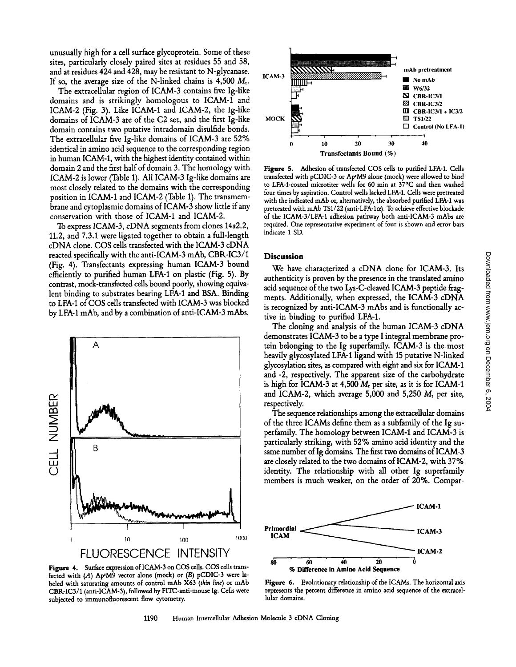unusually high for a cell surface glycoprotein. Some of these sites, particularly closely paired sites at residues 55 and 58, and at residues 424 and 428, may be resistant to N-glycanase. If so, the average size of the N-linked chains is 4,500  $M_{\rm r}$ .

The extracellular region of ICAM-3 contains five Ig-like domains and is strikingly homologous to ICAM-1 and ICAM-2 (Fig. 3). Like ICAM-1 and ICAM-2, the Ig-like domains of ICAM-3 are of the C2 set, and the first Ig-like domain contains two putative intradomain disulfide bonds. The extracellular five Ig-like domains of ICAM-3 are 52% identical in amino acid sequence to the corresponding region in human ICAM-1, with the highest identity contained within domain 2 and the first half of domain 3. The homology with ICAM-2 is lower (Table 1). All ICAM-3 Ig-like domains are most closely related to the domains with the corresponding position in ICAM-1 and ICAM-2 (Table 1). The transmembrane and cytoplasmic domains of ICAM-3 show little if any conservation with those of ICAM-1 and ICAM-2.

To express ICAM-3, cDNA segments from clones 14a2.2, 11.2, and 7.3.1 were ligated together to obtain a full-length cDNA clone. COS cells transfected with the ICAM-3 cDNA reacted specifically with the anti-ICAM-3 mAb, CBR-IC3/1 (Fig. 4). Transfectants expressing human ICAM-3 bound efficiently to purified human LFA-1 on plastic (Fig. 5). By contrast, mock-transfected cells bound poorly, showing equivalent binding to substrates bearing LFA-1 and BSA. Binding to LFA-1 of COS cells transfected with ICAM-3 was blocked by LFA-1 mAb, and by a combination of anti-ICAM-3 mAbs.



Figure 4. Surface expression of ICAM-3 on COS cells. COS cells transfected with  $(A)$  Ap<sup>t</sup>M9 vector alone (mock) or  $(B)$  pCDIC-3 were labeled with saturating amounts of control mAb X63 *(thin line)* or mAb CBR-IC3/1 (anti-ICAM-3), followed by FITC-anri-mouse Ig. Cells were subjected to immunofluorescent flow cytometry.



Figure 5. Adhesion of transfected COS cells to purified LFA-1. Cells transfected with pCDIC-3 or Ap<sup>1</sup>M9 alone (mock) were allowed to bind to LFA-1-coated microtiter wells for 60 min at 37°C and then washed four times by aspiration. Control wells lacked LFA-1. Cells were pretreated with the indicated mAb or, alternatively, the absorbed purified LFA-1 was pretreated with mAb TS1/22 (anti-LFA-1 $\alpha$ ). To achieve effective blockade of the ICAM-3/LFA-1 adhesion pathway both anti-ICAM-3 mAbs are required. One representative experiment of four is shown and error bars indicate 1 SD.

# **Discussion**

We have characterized a cDNA clone for ICAM-3. Its authenticity is proven by the presence in the translated amino acid sequence of the two Lys-C-cleaved ICAM-3 peptide fragments. Additionally, when expressed, the ICAM-3 cDNA is recognized by anti-ICAM-3 mAbs and is functionally active in binding to purified LFA-1.

The cloning and analysis of the human ICAM-3 cDNA demonstrates ICAM-3 to be a type I integral membrane protein belonging to the Ig superfamily. ICAM-3 is the most heavily glycosylated LFA-1 ligand with 15 putative N-linked glycosylation sites, as compared with eight and six for ICAM-1 and -2, respectively. The apparent size of the carbohydrate is high for ICAM-3 at 4,500  $M_r$  per site, as it is for ICAM-1 and ICAM-2, which average 5,000 and 5,250  $M_r$  per site, respectively.

The sequence relationships among the extracellular domains of the three ICAMs define them as a subfamily of the Ig superfamily. The homology between ICAM-1 and ICAM-3 is particularly striking, with 52% amino acid identity and the same number of Ig domains. The first two domains of ICAM-3 are closely related to the two domains of ICAM-2, with 37% identity. The relationship with all other Ig superfamily members is much weaker, on the order of 20%. Compar-



Figure 6. Evolutionary relationship of the ICAMs. The horizontal axis represents the percent difference in amino acid sequence of the extracellular domains.

1190 Human Intercellular Adhesion Molecule 3 cDNA Cloning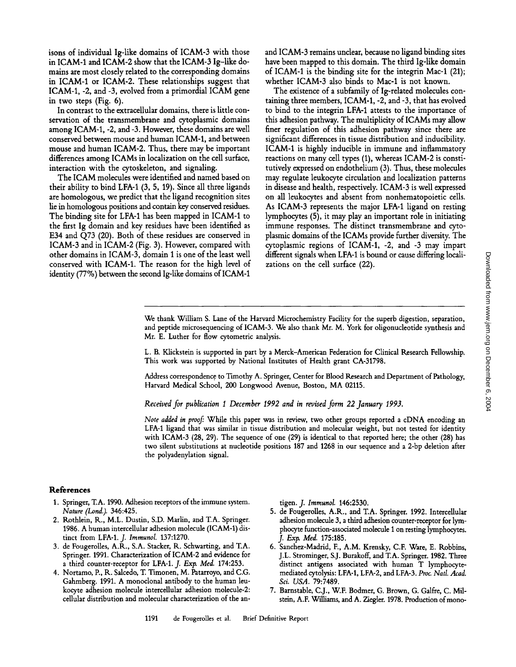isons of individual Ig-like domains of ICAM-3 with those in ICAM-1 and ICAM-2 show that the ICAM-3 Ig-like domains are most closely related to the corresponding domains in ICAM-1 or ICAM-2. These relationships suggest that ICAM-1, -2, and -3, evolved from a primordial ICAM gene in two steps (Fig. 6).

In contrast to the extracellular domains, there is little conservation of the transmembrane and cytoplasmic domains among ICAM-1, -2, and -3. However, these domains are well conserved between mouse and human ICAM-1, and between mouse and human ICAM-2. Thus, there may be important differences among ICAMs in localization on the cell surface, interaction with the cytoskeleton, and signaling.

The ICAM molecules were identified and named based on their ability to bind LFA-1 (3, 5, 19). Since all three ligands are homologous, we predict that the ligand recognition sites lie in homologous positions and contain key conserved residues. The binding site for LFA-1 has been mapped in ICAM-1 to the first Ig domain and key residues have been identified as E34 and Q73 (20). Both of these residues are conserved in ICAM-3 and in ICAM-2 (Fig. 3). However, compared with other domains in ICAM-3, domain I is one of the least well conserved with ICAM-1. The reason for the high level of identity (77%) between the second Ig-like domains of ICAM-1 and ICAM-3 remains unclear, because no ligand binding sites have been mapped to this domain. The third Ig-like domain of ICAM-1 is the binding site for the integrin Mac-1 (21); whether ICAM-3 also binds to Mac-1 is not known.

The existence of a subfamily of Ig-related molecules containing three members, ICAM-1, -2, and -3, that has evolved to bind to the integrin *LFA-1* attests to the importance of this adhesion pathway. The multiplicity of ICAMs may allow finer regulation of this adhesion pathway since there are significant differences in tissue distribution and inducibility. ICAM-1 is highly inducible in immune and inflammatory reactions on many cell types (1), whereas ICAM-2 is constitutively expressed on endothelium (3). Thus, these molecules may regulate leukocyte circulation and localization patterns in disease and health, respectively. ICAM-3 is well expressed on all leukocytes and absent from nonhematopoietic cells. As ICAM-3 represents the major LFA-1 ligand on resting lymphocytes (5), it may play an important role in initiating immune responses. The distinct transmembrane and cytoplasmic domains of the ICAMs provide further diversity. The cytoplasmic regions of ICAM-1, -2, and -3 may impart different signals when LFA-1 is bound or cause differing localizations on the cell surface (22).

We thank William S. Lane of the Harvard Microchemistry Facility for the superb digestion, separation, and peptide microsequencing of ICAM-3. We also thank Mr. M. York for oligonucleotide synthesis and Mr. E. Luther for flow cytometric analysis.

L. B. Klickstein is supported in part by a Merck-American Federation for Clinical Research Fellowship. This work was supported by National Institutes of Health grant CA-31798.

Address correspondence to Timothy A. Springer, Center for Blood Research and Department of Pathology, Harvard Medical School, 200 Longwood Avenue, Boston, MA 02115.

Received for publication 1 December 1992 and in revised form 22 January 1993.

*Note added in proof:* While this paper was in review, two other groups reported a cDNA encoding an LFA-1 ligand that was similar in tissue distribution and molecular weight, but not tested for identity with ICAM-3 (28, 29). The sequence of one (29) is identical to that reported here; the other (28) has two silent substitutions at nucleotide positions 187 and 1268 in our sequence and a 2-bp deletion after the polyadenylation signal.

# References

- 1. Springer, T.A. 1990. Adhesion receptors of the immune system. *Nature (Lond.).* 346:425.
- 2. Rothlein, R., M.L. Dustin, S.D. Marlin, and T.A. Springer. 1986. A human intercellular adhesion molecule (ICAM-1) distinct from LFA-1. *J. Immunol.* 137:1270.
- 3. de Fougerolles, A.R., S.A. Stacker, R. Schwarting, and T.A. Springer. 1991. Characterization of ICAM-2 and evidence for a third counter-receptor for LFA-1. *J. Exp. Med.* 174:253.
- 4. Nortamo, P., R. Salcedo, T. Timonen, M. Patarroyo, and C.G. Gahmberg. 1991. A monoclonal antibody to the human leukocyte adhesion molecule intercellular adhesion molecule-2: cellular distribution and molecular characterization of the an-

tigen. *J. Immunol.* 146:2530.

- 5. de Fougerolles, A.R., and T.A. Springer. 1992. Intercellular adhesion molecule 3, a third adhesion counter-receptor for lymphocyte function-associated molecule 1 on resting lymphocytes. *J. Exp. Med.* 175:185.
- 6. Sanchez-Madrid, F., A.M. Krensky, C.F. Ware, E. Robbins, J.L. Strominger, S.J. Burakoff, and T.A. Springer. 1982. Three distinct antigens associated with human T lymphocytemediated cytolysis: LFA-1, LFA-2, and LFA-3. Proc. Natl. Acad. *Sci. USA.* 79:7489.
- 7. Barnstable, C.J., W.F. Bodmer, G. Brown, G. Galfre, C. Milstein, A.F. Williams, and A. Ziegler. 1978. Production of mono-